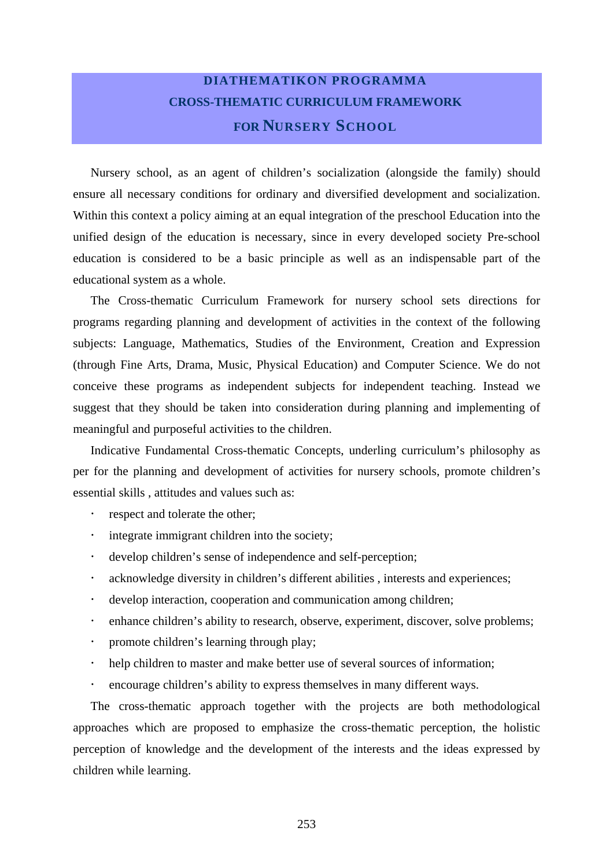## **DIATHEMATIKON PROGRAMMA CROSS-THEMATIC CURRICULUM FRAMEWORK FOR NURSERY SCHOOL**

Nursery school, as an agent of children's socialization (alongside the family) should ensure all necessary conditions for ordinary and diversified development and socialization. Within this context a policy aiming at an equal integration of the preschool Education into the unified design of the education is necessary, since in every developed society Pre-school education is considered to be a basic principle as well as an indispensable part of the educational system as a whole.

The Cross-thematic Curriculum Framework for nursery school sets directions for programs regarding planning and development of activities in the context of the following subjects: Language, Mathematics, Studies of the Environment, Creation and Expression (through Fine Arts, Drama, Music, Physical Education) and Computer Science. We do not conceive these programs as independent subjects for independent teaching. Instead we suggest that they should be taken into consideration during planning and implementing of meaningful and purposeful activities to the children.

Indicative Fundamental Cross-thematic Concepts, underling curriculum's philosophy as per for the planning and development of activities for nursery schools, promote children's essential skills , attitudes and values such as:

- respect and tolerate the other;
- integrate immigrant children into the society;
- ! develop children's sense of independence and self-perception;
- acknowledge diversity in children's different abilities, interests and experiences;
- develop interaction, cooperation and communication among children;
- ! enhance children's ability to research, observe, experiment, discover, solve problems;
- ! promote children's learning through play;
- help children to master and make better use of several sources of information;
- ! encourage children's ability to express themselves in many different ways.

The cross-thematic approach together with the projects are both methodological approaches which are proposed to emphasize the cross-thematic perception, the holistic perception of knowledge and the development of the interests and the ideas expressed by children while learning.